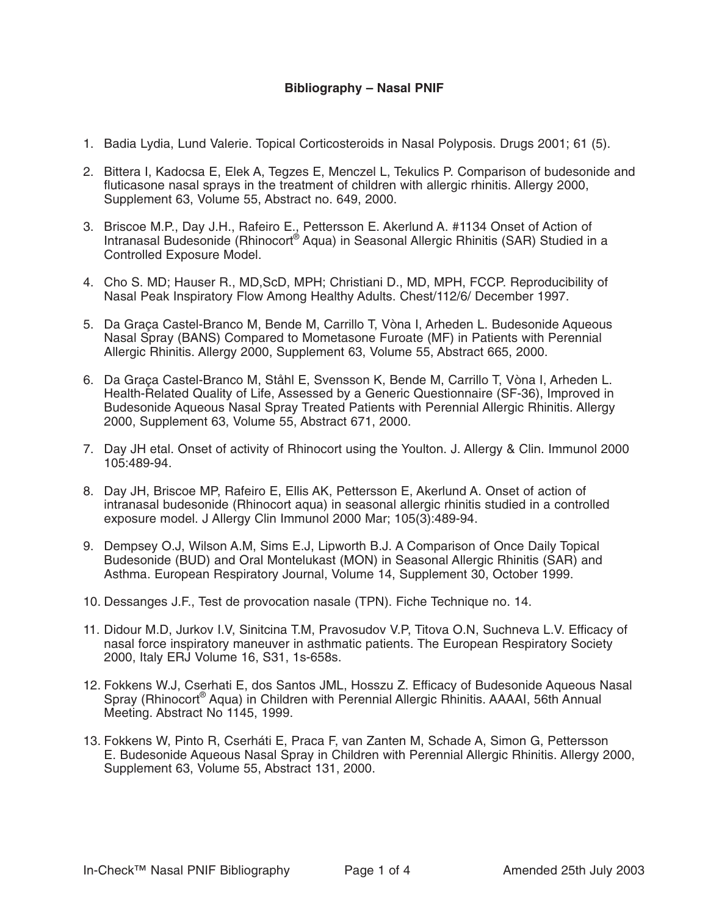## **Bibliography – Nasal PNIF**

- 1. Badia Lydia, Lund Valerie. Topical Corticosteroids in Nasal Polyposis. Drugs 2001; 61 (5).
- 2. Bittera I, Kadocsa E, Elek A, Tegzes E, Menczel L, Tekulics P. Comparison of budesonide and fluticasone nasal sprays in the treatment of children with allergic rhinitis. Allergy 2000, Supplement 63, Volume 55, Abstract no. 649, 2000.
- 3. Briscoe M.P., Day J.H., Rafeiro E., Pettersson E. Akerlund A. #1134 Onset of Action of Intranasal Budesonide (Rhinocort<sup>®</sup> Aqua) in Seasonal Allergic Rhinitis (SAR) Studied in a Controlled Exposure Model.
- 4. Cho S. MD; Hauser R., MD,ScD, MPH; Christiani D., MD, MPH, FCCP. Reproducibility of Nasal Peak Inspiratory Flow Among Healthy Adults. Chest/112/6/ December 1997.
- 5. Da Graça Castel-Branco M, Bende M, Carrillo T, Vòna I, Arheden L. Budesonide Aqueous Nasal Spray (BANS) Compared to Mometasone Furoate (MF) in Patients with Perennial Allergic Rhinitis. Allergy 2000, Supplement 63, Volume 55, Abstract 665, 2000.
- 6. Da Graça Castel-Branco M, Ståhl E, Svensson K, Bende M, Carrillo T, Vòna I, Arheden L. Health-Related Quality of Life, Assessed by a Generic Questionnaire (SF-36), Improved in Budesonide Aqueous Nasal Spray Treated Patients with Perennial Allergic Rhinitis. Allergy 2000, Supplement 63, Volume 55, Abstract 671, 2000.
- 7. Day JH etal. Onset of activity of Rhinocort using the Youlton. J. Allergy & Clin. Immunol 2000 105:489-94.
- 8. Day JH, Briscoe MP, Rafeiro E, Ellis AK, Pettersson E, Akerlund A. Onset of action of intranasal budesonide (Rhinocort aqua) in seasonal allergic rhinitis studied in a controlled exposure model. J Allergy Clin Immunol 2000 Mar; 105(3):489-94.
- 9. Dempsey O.J, Wilson A.M, Sims E.J, Lipworth B.J. A Comparison of Once Daily Topical Budesonide (BUD) and Oral Montelukast (MON) in Seasonal Allergic Rhinitis (SAR) and Asthma. European Respiratory Journal, Volume 14, Supplement 30, October 1999.
- 10. Dessanges J.F., Test de provocation nasale (TPN). Fiche Technique no. 14.
- 11. Didour M.D, Jurkov I.V, Sinitcina T.M, Pravosudov V.P, Titova O.N, Suchneva L.V. Efficacy of nasal force inspiratory maneuver in asthmatic patients. The European Respiratory Society 2000, Italy ERJ Volume 16, S31, 1s-658s.
- 12. Fokkens W.J, Cserhati E, dos Santos JML, Hosszu Z. Efficacy of Budesonide Aqueous Nasal Spray (Rhinocort® Aqua) in Children with Perennial Allergic Rhinitis. AAAAI, 56th Annual Meeting. Abstract No 1145, 1999.
- 13. Fokkens W, Pinto R, Cserháti E, Praca F, van Zanten M, Schade A, Simon G, Pettersson E. Budesonide Aqueous Nasal Spray in Children with Perennial Allergic Rhinitis. Allergy 2000, Supplement 63, Volume 55, Abstract 131, 2000.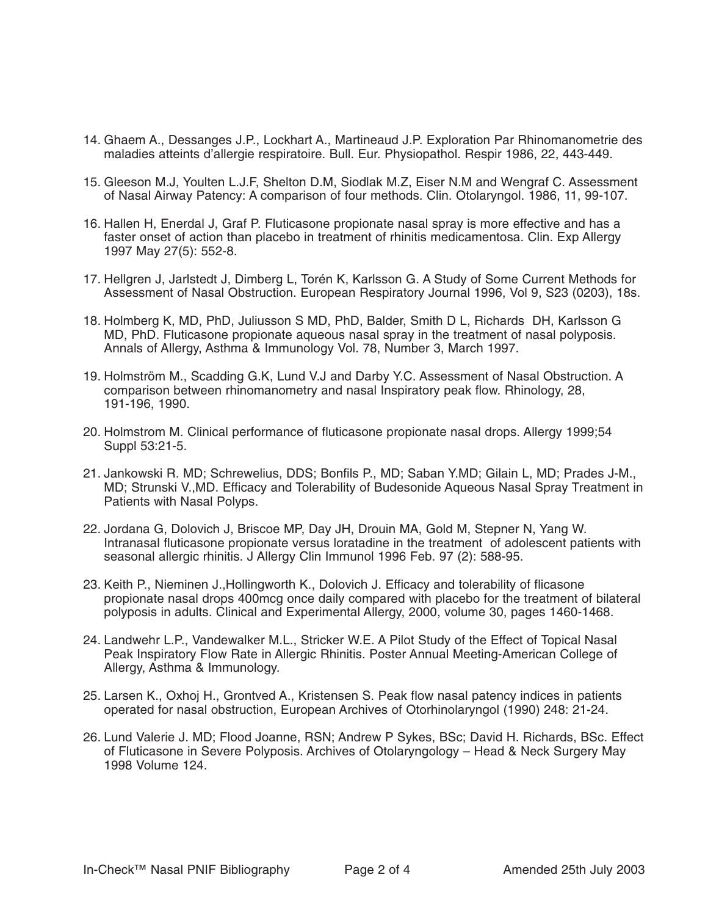- 14. Ghaem A., Dessanges J.P., Lockhart A., Martineaud J.P. Exploration Par Rhinomanometrie des maladies atteints d'allergie respiratoire. Bull. Eur. Physiopathol. Respir 1986, 22, 443-449.
- 15. Gleeson M.J, Youlten L.J.F, Shelton D.M, Siodlak M.Z, Eiser N.M and Wengraf C. Assessment of Nasal Airway Patency: A comparison of four methods. Clin. Otolaryngol. 1986, 11, 99-107.
- 16. Hallen H, Enerdal J, Graf P. Fluticasone propionate nasal spray is more effective and has a faster onset of action than placebo in treatment of rhinitis medicamentosa. Clin. Exp Allergy 1997 May 27(5): 552-8.
- 17. Hellgren J, Jarlstedt J, Dimberg L, Torén K, Karlsson G. A Study of Some Current Methods for Assessment of Nasal Obstruction. European Respiratory Journal 1996, Vol 9, S23 (0203), 18s.
- 18. Holmberg K, MD, PhD, Juliusson S MD, PhD, Balder, Smith D L, Richards DH, Karlsson G MD, PhD. Fluticasone propionate aqueous nasal spray in the treatment of nasal polyposis. Annals of Allergy, Asthma & Immunology Vol. 78, Number 3, March 1997.
- 19. Holmström M., Scadding G.K, Lund V.J and Darby Y.C. Assessment of Nasal Obstruction. A comparison between rhinomanometry and nasal Inspiratory peak flow. Rhinology, 28, 191-196, 1990.
- 20. Holmstrom M. Clinical performance of fluticasone propionate nasal drops. Allergy 1999;54 Suppl 53:21-5.
- 21. Jankowski R. MD; Schrewelius, DDS; Bonfils P., MD; Saban Y.MD; Gilain L, MD; Prades J-M., MD; Strunski V.,MD. Efficacy and Tolerability of Budesonide Aqueous Nasal Spray Treatment in Patients with Nasal Polyps.
- 22. Jordana G, Dolovich J, Briscoe MP, Day JH, Drouin MA, Gold M, Stepner N, Yang W. Intranasal fluticasone propionate versus loratadine in the treatment of adolescent patients with seasonal allergic rhinitis. J Allergy Clin Immunol 1996 Feb. 97 (2): 588-95.
- 23. Keith P., Nieminen J.,Hollingworth K., Dolovich J. Efficacy and tolerability of flicasone propionate nasal drops 400mcg once daily compared with placebo for the treatment of bilateral polyposis in adults. Clinical and Experimental Allergy, 2000, volume 30, pages 1460-1468.
- 24. Landwehr L.P., Vandewalker M.L., Stricker W.E. A Pilot Study of the Effect of Topical Nasal Peak Inspiratory Flow Rate in Allergic Rhinitis. Poster Annual Meeting-American College of Allergy, Asthma & Immunology.
- 25. Larsen K., Oxhoj H., Grontved A., Kristensen S. Peak flow nasal patency indices in patients operated for nasal obstruction, European Archives of Otorhinolaryngol (1990) 248: 21-24.
- 26. Lund Valerie J. MD; Flood Joanne, RSN; Andrew P Sykes, BSc; David H. Richards, BSc. Effect of Fluticasone in Severe Polyposis. Archives of Otolaryngology – Head & Neck Surgery May 1998 Volume 124.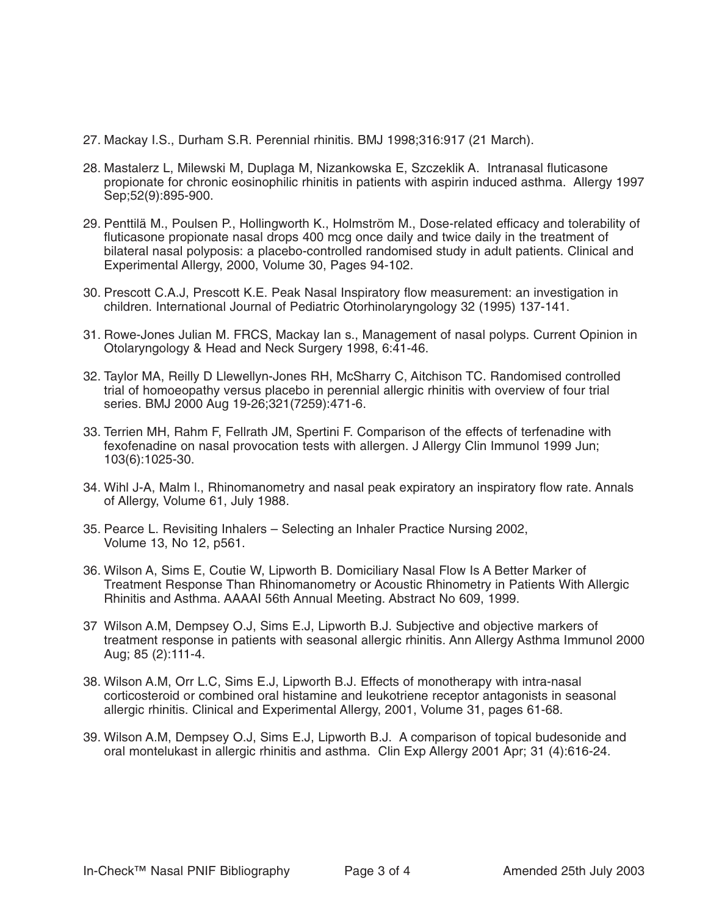- 27. Mackay I.S., Durham S.R. Perennial rhinitis. BMJ 1998;316:917 (21 March).
- 28. Mastalerz L, Milewski M, Duplaga M, Nizankowska E, Szczeklik A. Intranasal fluticasone propionate for chronic eosinophilic rhinitis in patients with aspirin induced asthma. Allergy 1997 Sep;52(9):895-900.
- 29. Penttilä M., Poulsen P., Hollingworth K., Holmström M., Dose-related efficacy and tolerability of fluticasone propionate nasal drops 400 mcg once daily and twice daily in the treatment of bilateral nasal polyposis: a placebo-controlled randomised study in adult patients. Clinical and Experimental Allergy, 2000, Volume 30, Pages 94-102.
- 30. Prescott C.A.J, Prescott K.E. Peak Nasal Inspiratory flow measurement: an investigation in children. International Journal of Pediatric Otorhinolaryngology 32 (1995) 137-141.
- 31. Rowe-Jones Julian M. FRCS, Mackay Ian s., Management of nasal polyps. Current Opinion in Otolaryngology & Head and Neck Surgery 1998, 6:41-46.
- 32. Taylor MA, Reilly D Llewellyn-Jones RH, McSharry C, Aitchison TC. Randomised controlled trial of homoeopathy versus placebo in perennial allergic rhinitis with overview of four trial series. BMJ 2000 Aug 19-26;321(7259):471-6.
- 33. Terrien MH, Rahm F, Fellrath JM, Spertini F. Comparison of the effects of terfenadine with fexofenadine on nasal provocation tests with allergen. J Allergy Clin Immunol 1999 Jun; 103(6):1025-30.
- 34. Wihl J-A, Malm l., Rhinomanometry and nasal peak expiratory an inspiratory flow rate. Annals of Allergy, Volume 61, July 1988.
- 35. Pearce L. Revisiting Inhalers Selecting an Inhaler Practice Nursing 2002, Volume 13, No 12, p561.
- 36. Wilson A, Sims E, Coutie W, Lipworth B. Domiciliary Nasal Flow Is A Better Marker of Treatment Response Than Rhinomanometry or Acoustic Rhinometry in Patients With Allergic Rhinitis and Asthma. AAAAI 56th Annual Meeting. Abstract No 609, 1999.
- 37 Wilson A.M, Dempsey O.J, Sims E.J, Lipworth B.J. Subjective and objective markers of treatment response in patients with seasonal allergic rhinitis. Ann Allergy Asthma Immunol 2000 Aug; 85 (2):111-4.
- 38. Wilson A.M, Orr L.C, Sims E.J, Lipworth B.J. Effects of monotherapy with intra-nasal corticosteroid or combined oral histamine and leukotriene receptor antagonists in seasonal allergic rhinitis. Clinical and Experimental Allergy, 2001, Volume 31, pages 61-68.
- 39. Wilson A.M, Dempsey O.J, Sims E.J, Lipworth B.J. A comparison of topical budesonide and oral montelukast in allergic rhinitis and asthma. Clin Exp Allergy 2001 Apr; 31 (4):616-24.